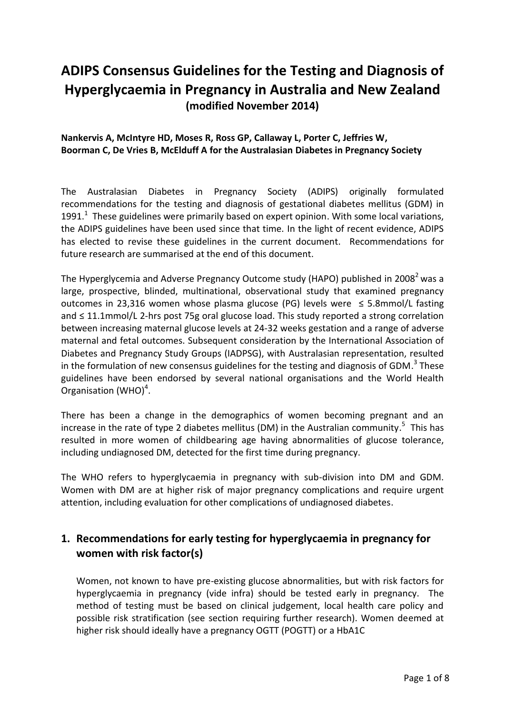# **ADIPS Consensus Guidelines for the Testing and Diagnosis of Hyperglycaemia in Pregnancy in Australia and New Zealand (modified November 2014)**

**Nankervis A, McIntyre HD, Moses R, Ross GP, Callaway L, Porter C, Jeffries W, Boorman C, De Vries B, McElduff A for the Australasian Diabetes in Pregnancy Society**

The Australasian Diabetes in Pregnancy Society (ADIPS) originally formulated recommendations for the testing and diagnosis of gestational diabetes mellitus (GDM) in 1991. $<sup>1</sup>$  These guidelines were primarily based on expert opinion. With some local variations,</sup> the ADIPS guidelines have been used since that time. In the light of recent evidence, ADIPS has elected to revise these guidelines in the current document. Recommendations for future research are summarised at the end of this document.

The Hyperglycemia and Adverse Pregnancy Outcome study (HAPO) published in 2008<sup>2</sup> was a large, prospective, blinded, multinational, observational study that examined pregnancy outcomes in 23,316 women whose plasma glucose (PG) levels were ≤ 5.8mmol/L fasting and ≤ 11.1mmol/L 2-hrs post 75g oral glucose load. This study reported a strong correlation between increasing maternal glucose levels at 24-32 weeks gestation and a range of adverse maternal and fetal outcomes. Subsequent consideration by the International Association of Diabetes and Pregnancy Study Groups (IADPSG), with Australasian representation, resulted in the formulation of new consensus guidelines for the testing and diagnosis of GDM. $^3$  These guidelines have been endorsed by several national organisations and the World Health Organisation (WHO)<sup>4</sup>.

There has been a change in the demographics of women becoming pregnant and an increase in the rate of type 2 diabetes mellitus (DM) in the Australian community.<sup>5</sup> This has resulted in more women of childbearing age having abnormalities of glucose tolerance, including undiagnosed DM, detected for the first time during pregnancy.

The WHO refers to hyperglycaemia in pregnancy with sub-division into DM and GDM. Women with DM are at higher risk of major pregnancy complications and require urgent attention, including evaluation for other complications of undiagnosed diabetes.

# **1. Recommendations for early testing for hyperglycaemia in pregnancy for women with risk factor(s)**

Women, not known to have pre-existing glucose abnormalities, but with risk factors for hyperglycaemia in pregnancy (vide infra) should be tested early in pregnancy. The method of testing must be based on clinical judgement, local health care policy and possible risk stratification (see section requiring further research). Women deemed at higher risk should ideally have a pregnancy OGTT (POGTT) or a HbA1C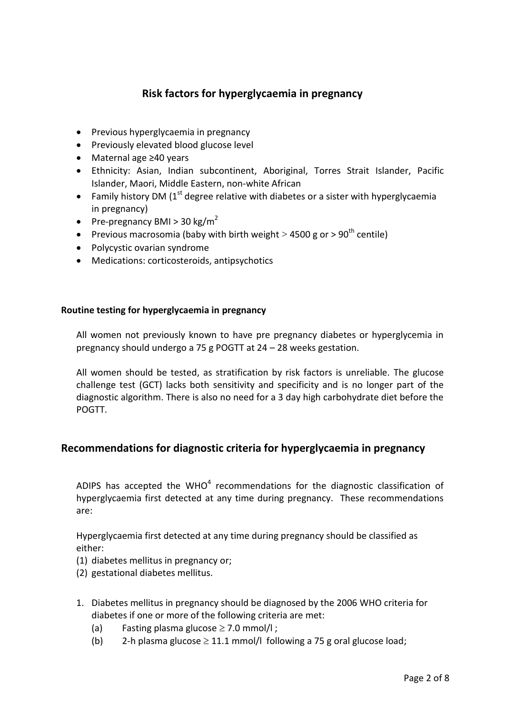## **Risk factors for hyperglycaemia in pregnancy**

- Previous hyperglycaemia in pregnancy
- Previously elevated blood glucose level
- Maternal age ≥40 years
- Ethnicity: Asian, Indian subcontinent, Aboriginal, Torres Strait Islander, Pacific Islander, Maori, Middle Eastern, non-white African
- Family history DM  $(1<sup>st</sup>$  degree relative with diabetes or a sister with hyperglycaemia in pregnancy)
- Pre-pregnancy BMI > 30 kg/m<sup>2</sup>
- Previous macrosomia (baby with birth weight  $>$  4500 g or  $>$  90<sup>th</sup> centile)
- Polycystic ovarian syndrome
- Medications: corticosteroids, antipsychotics

#### **Routine testing for hyperglycaemia in pregnancy**

All women not previously known to have pre pregnancy diabetes or hyperglycemia in pregnancy should undergo a 75 g POGTT at 24 – 28 weeks gestation.

All women should be tested, as stratification by risk factors is unreliable. The glucose challenge test (GCT) lacks both sensitivity and specificity and is no longer part of the diagnostic algorithm. There is also no need for a 3 day high carbohydrate diet before the POGTT.

#### **Recommendations for diagnostic criteria for hyperglycaemia in pregnancy**

ADIPS has accepted the WHO<sup>4</sup> recommendations for the diagnostic classification of hyperglycaemia first detected at any time during pregnancy. These recommendations are:

Hyperglycaemia first detected at any time during pregnancy should be classified as either:

- (1) diabetes mellitus in pregnancy or;
- (2) gestational diabetes mellitus.
- 1. Diabetes mellitus in pregnancy should be diagnosed by the 2006 WHO criteria for diabetes if one or more of the following criteria are met:
	- (a) Fasting plasma glucose  $\geq$  7.0 mmol/l;
	- (b) 2-h plasma glucose  $\geq$  11.1 mmol/l following a 75 g oral glucose load;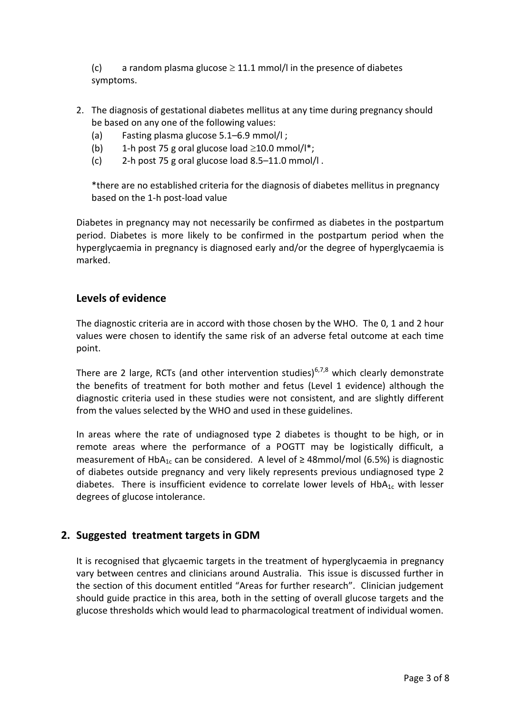(c) a random plasma glucose  $\geq 11.1$  mmol/l in the presence of diabetes symptoms.

- 2. The diagnosis of gestational diabetes mellitus at any time during pregnancy should be based on any one of the following values:
	- (a) Fasting plasma glucose 5.1–6.9 mmol/l ;
	- (b) 1-h post 75 g oral glucose load  $\geq$ 10.0 mmol/l<sup>\*</sup>;
	- (c) 2-h post 75 g oral glucose load 8.5–11.0 mmol/l .

\*there are no established criteria for the diagnosis of diabetes mellitus in pregnancy based on the 1-h post-load value

Diabetes in pregnancy may not necessarily be confirmed as diabetes in the postpartum period. Diabetes is more likely to be confirmed in the postpartum period when the hyperglycaemia in pregnancy is diagnosed early and/or the degree of hyperglycaemia is marked.

#### **Levels of evidence**

The diagnostic criteria are in accord with those chosen by the WHO. The 0, 1 and 2 hour values were chosen to identify the same risk of an adverse fetal outcome at each time point.

There are 2 large, RCTs (and other intervention studies)<sup>6,7,8</sup> which clearly demonstrate the benefits of treatment for both mother and fetus (Level 1 evidence) although the diagnostic criteria used in these studies were not consistent, and are slightly different from the values selected by the WHO and used in these guidelines.

In areas where the rate of undiagnosed type 2 diabetes is thought to be high, or in remote areas where the performance of a POGTT may be logistically difficult, a measurement of HbA<sub>1c</sub> can be considered. A level of  $\geq$  48mmol/mol (6.5%) is diagnostic of diabetes outside pregnancy and very likely represents previous undiagnosed type 2 diabetes. There is insufficient evidence to correlate lower levels of  $HbA_{1c}$  with lesser degrees of glucose intolerance.

#### **2. Suggested treatment targets in GDM**

It is recognised that glycaemic targets in the treatment of hyperglycaemia in pregnancy vary between centres and clinicians around Australia. This issue is discussed further in the section of this document entitled "Areas for further research". Clinician judgement should guide practice in this area, both in the setting of overall glucose targets and the glucose thresholds which would lead to pharmacological treatment of individual women.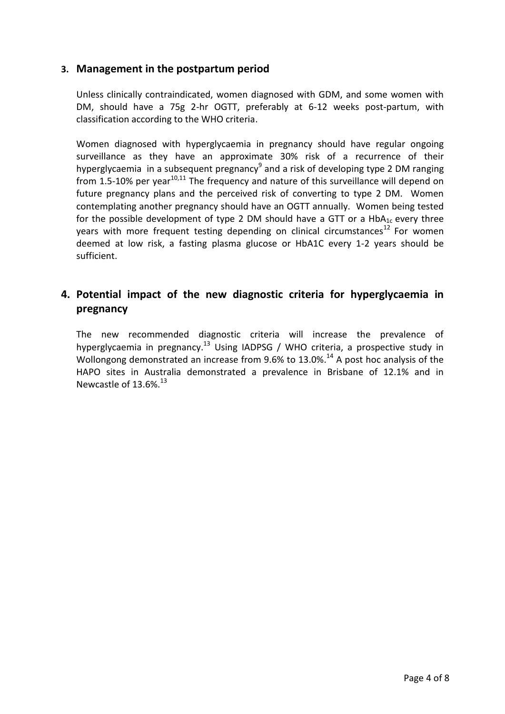#### **3. Management in the postpartum period**

Unless clinically contraindicated, women diagnosed with GDM, and some women with DM, should have a 75g 2-hr OGTT, preferably at 6-12 weeks post-partum, with classification according to the WHO criteria.

Women diagnosed with hyperglycaemia in pregnancy should have regular ongoing surveillance as they have an approximate 30% risk of a recurrence of their hyperglycaemia in a subsequent pregnancy $9$  and a risk of developing type 2 DM ranging from 1.5-10% per year<sup>10,11</sup> The frequency and nature of this surveillance will depend on future pregnancy plans and the perceived risk of converting to type 2 DM. Women contemplating another pregnancy should have an OGTT annually. Women being tested for the possible development of type 2 DM should have a GTT or a  $HbA_{1c}$  every three years with more frequent testing depending on clinical circumstances<sup>12</sup> For women deemed at low risk, a fasting plasma glucose or HbA1C every 1-2 years should be sufficient.

### **4. Potential impact of the new diagnostic criteria for hyperglycaemia in pregnancy**

The new recommended diagnostic criteria will increase the prevalence of hyperglycaemia in pregnancy.<sup>13</sup> Using IADPSG / WHO criteria, a prospective study in Wollongong demonstrated an increase from 9.6% to 13.0%.<sup>14</sup> A post hoc analysis of the HAPO sites in Australia demonstrated a prevalence in Brisbane of 12.1% and in Newcastle of 13.6%.<sup>13</sup>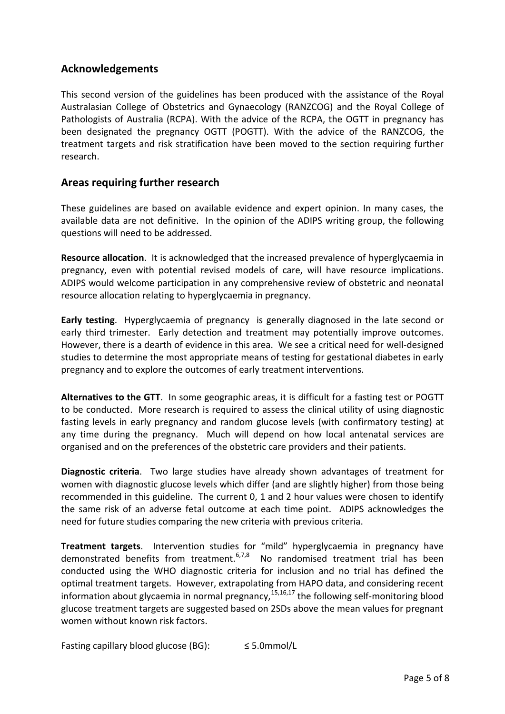#### **Acknowledgements**

This second version of the guidelines has been produced with the assistance of the Royal Australasian College of Obstetrics and Gynaecology (RANZCOG) and the Royal College of Pathologists of Australia (RCPA). With the advice of the RCPA, the OGTT in pregnancy has been designated the pregnancy OGTT (POGTT). With the advice of the RANZCOG, the treatment targets and risk stratification have been moved to the section requiring further research.

#### **Areas requiring further research**

These guidelines are based on available evidence and expert opinion. In many cases, the available data are not definitive. In the opinion of the ADIPS writing group, the following questions will need to be addressed.

**Resource allocation**. It is acknowledged that the increased prevalence of hyperglycaemia in pregnancy, even with potential revised models of care, will have resource implications. ADIPS would welcome participation in any comprehensive review of obstetric and neonatal resource allocation relating to hyperglycaemia in pregnancy.

**Early testing**. Hyperglycaemia of pregnancy is generally diagnosed in the late second or early third trimester. Early detection and treatment may potentially improve outcomes. However, there is a dearth of evidence in this area. We see a critical need for well-designed studies to determine the most appropriate means of testing for gestational diabetes in early pregnancy and to explore the outcomes of early treatment interventions.

**Alternatives to the GTT**. In some geographic areas, it is difficult for a fasting test or POGTT to be conducted. More research is required to assess the clinical utility of using diagnostic fasting levels in early pregnancy and random glucose levels (with confirmatory testing) at any time during the pregnancy. Much will depend on how local antenatal services are organised and on the preferences of the obstetric care providers and their patients.

**Diagnostic criteria**. Two large studies have already shown advantages of treatment for women with diagnostic glucose levels which differ (and are slightly higher) from those being recommended in this guideline. The current 0, 1 and 2 hour values were chosen to identify the same risk of an adverse fetal outcome at each time point. ADIPS acknowledges the need for future studies comparing the new criteria with previous criteria.

**Treatment targets**. Intervention studies for "mild" hyperglycaemia in pregnancy have demonstrated benefits from treatment.<sup>6,7,8</sup> No randomised treatment trial has been conducted using the WHO diagnostic criteria for inclusion and no trial has defined the optimal treatment targets. However, extrapolating from HAPO data, and considering recent information about glycaemia in normal pregnancy,<sup>15,16,17</sup> the following self-monitoring blood glucose treatment targets are suggested based on 2SDs above the mean values for pregnant women without known risk factors.

Fasting capillary blood glucose (BG):  $\leq$  5.0mmol/L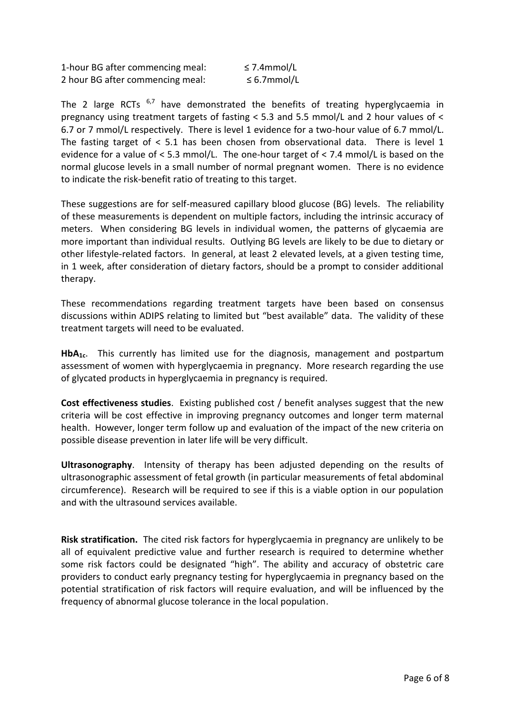1-hour BG after commencing meal: ≤ 7.4mmol/L 2 hour BG after commencing meal: ≤ 6.7mmol/L

The 2 large RCTs  $^{6,7}$  have demonstrated the benefits of treating hyperglycaemia in pregnancy using treatment targets of fasting < 5.3 and 5.5 mmol/L and 2 hour values of < 6.7 or 7 mmol/L respectively. There is level 1 evidence for a two-hour value of 6.7 mmol/L. The fasting target of < 5.1 has been chosen from observational data. There is level 1 evidence for a value of < 5.3 mmol/L. The one-hour target of < 7.4 mmol/L is based on the normal glucose levels in a small number of normal pregnant women. There is no evidence to indicate the risk-benefit ratio of treating to this target.

These suggestions are for self-measured capillary blood glucose (BG) levels. The reliability of these measurements is dependent on multiple factors, including the intrinsic accuracy of meters. When considering BG levels in individual women, the patterns of glycaemia are more important than individual results. Outlying BG levels are likely to be due to dietary or other lifestyle-related factors. In general, at least 2 elevated levels, at a given testing time, in 1 week, after consideration of dietary factors, should be a prompt to consider additional therapy.

These recommendations regarding treatment targets have been based on consensus discussions within ADIPS relating to limited but "best available" data. The validity of these treatment targets will need to be evaluated.

**HbA1c**. This currently has limited use for the diagnosis, management and postpartum assessment of women with hyperglycaemia in pregnancy. More research regarding the use of glycated products in hyperglycaemia in pregnancy is required.

**Cost effectiveness studies**. Existing published cost / benefit analyses suggest that the new criteria will be cost effective in improving pregnancy outcomes and longer term maternal health. However, longer term follow up and evaluation of the impact of the new criteria on possible disease prevention in later life will be very difficult.

**Ultrasonography**. Intensity of therapy has been adjusted depending on the results of ultrasonographic assessment of fetal growth (in particular measurements of fetal abdominal circumference). Research will be required to see if this is a viable option in our population and with the ultrasound services available.

**Risk stratification.** The cited risk factors for hyperglycaemia in pregnancy are unlikely to be all of equivalent predictive value and further research is required to determine whether some risk factors could be designated "high". The ability and accuracy of obstetric care providers to conduct early pregnancy testing for hyperglycaemia in pregnancy based on the potential stratification of risk factors will require evaluation, and will be influenced by the frequency of abnormal glucose tolerance in the local population.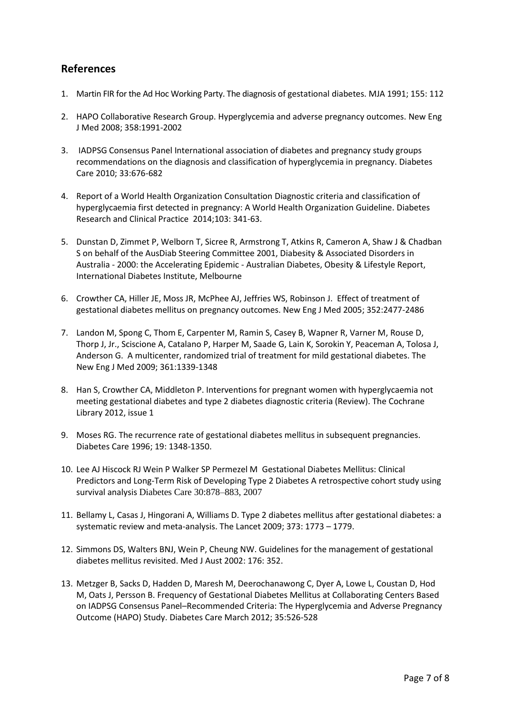#### **References**

- 1. Martin FIR for the Ad Hoc Working Party. The diagnosis of gestational diabetes. MJA 1991; 155: 112
- 2. HAPO Collaborative Research Group. Hyperglycemia and adverse pregnancy outcomes. New Eng J Med 2008; 358:1991-2002
- 3. IADPSG Consensus Panel International association of diabetes and pregnancy study groups recommendations on the diagnosis and classification of hyperglycemia in pregnancy. Diabetes Care 2010; 33:676-682
- 4. Report of a World Health Organization Consultation Diagnostic criteria and classification of hyperglycaemia first detected in pregnancy: A World Health Organization Guideline. Diabetes Research and Clinical Practice 2014;103: 341-63.
- 5. Dunstan D, Zimmet P, Welborn T, Sicree R, Armstrong T, Atkins R, Cameron A, Shaw J & Chadban S on behalf of the AusDiab Steering Committee 2001, Diabesity & Associated Disorders in Australia - 2000: the Accelerating Epidemic - Australian Diabetes, Obesity & Lifestyle Report, International Diabetes Institute, Melbourne
- 6. Crowther CA, Hiller JE, Moss JR, McPhee AJ, Jeffries WS, Robinson J. Effect of treatment of gestational diabetes mellitus on pregnancy outcomes. New Eng J Med 2005; 352:2477-2486
- 7. Landon M, Spong C, Thom E, Carpenter M, Ramin S, Casey B, Wapner R, Varner M, Rouse D, Thorp J, Jr., Sciscione A, Catalano P, Harper M, Saade G, Lain K, Sorokin Y, Peaceman A, Tolosa J, Anderson G. A multicenter, randomized trial of treatment for mild gestational diabetes. The New Eng J Med 2009; 361:1339-1348
- 8. Han S, Crowther CA, Middleton P. Interventions for pregnant women with hyperglycaemia not meeting gestational diabetes and type 2 diabetes diagnostic criteria (Review). The Cochrane Library 2012, issue 1
- 9. Moses RG. The recurrence rate of gestational diabetes mellitus in subsequent pregnancies. Diabetes Care 1996; 19: 1348-1350.
- 10. Lee AJ Hiscock RJ Wein P Walker SP Permezel M Gestational Diabetes Mellitus: Clinical Predictors and Long-Term Risk of Developing Type 2 Diabetes A retrospective cohort study using survival analysis Diabetes Care 30:878–883, 2007
- 11. Bellamy L, Casas J, Hingorani A, Williams D. Type 2 diabetes mellitus after gestational diabetes: a systematic review and meta-analysis. The Lancet 2009; 373: 1773 – 1779.
- 12. Simmons DS, Walters BNJ, Wein P, Cheung NW. Guidelines for the management of gestational diabetes mellitus revisited. Med J Aust 2002: 176: 352.
- 13. Metzger B, Sacks D, Hadden D, Maresh M, Deerochanawong C, Dyer A, Lowe L, Coustan D, Hod M, Oats J, Persson B. Frequency of Gestational Diabetes Mellitus at Collaborating Centers Based on IADPSG Consensus Panel–Recommended Criteria: The Hyperglycemia and Adverse Pregnancy Outcome (HAPO) Study. Diabetes Care March 2012; 35:526-528